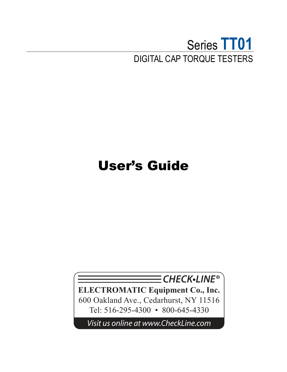## Series **TT01** DIGITAL CAP TORQUE TESTERS

# User's Guide

**CHECK•LINE®**

**ELECTROMATIC Equipment Co., Inc.** 600 Oakland Ave., Cedarhurst, NY 11516 Tel: 516-295-4300 • 800-645-4330

*Visit us online at www.CheckLine.com*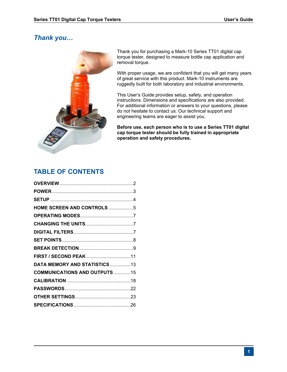## *Thank you…*



Thank you for purchasing a Mark-10 Series TT01 digital cap torque tester, designed to measure bottle cap application and removal torque.

With proper usage, we are confident that you will get many years of great service with this product. Mark-10 instruments are ruggedly built for both laboratory and industrial environments.

This User's Guide provides setup, safety, and operation instructions. Dimensions and specifications are also provided. For additional information or answers to your questions, please do not hesitate to contact us. Our technical support and engineering teams are eager to assist you.

**Before use, each person who is to use a Series TT01 digital cap torque tester should be fully trained in appropriate operation and safety procedures.** 

## **TABLE OF CONTENTS**

| HOME SCREEN AND CONTROLS 5           |  |
|--------------------------------------|--|
|                                      |  |
|                                      |  |
|                                      |  |
|                                      |  |
|                                      |  |
|                                      |  |
| DATA MEMORY AND STATISTICS 13        |  |
| <b>COMMUNICATIONS AND OUTPUTS 15</b> |  |
|                                      |  |
|                                      |  |
|                                      |  |
|                                      |  |
|                                      |  |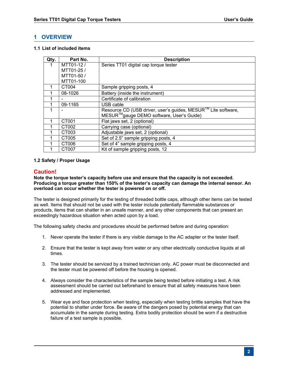### **1 OVERVIEW**

#### **1.1 List of included items**

| Qty. | Part No.          | <b>Description</b>                                                                                        |
|------|-------------------|-----------------------------------------------------------------------------------------------------------|
|      | MTT01-12/         | Series TT01 digital cap torque tester                                                                     |
|      | MTT01-25/         |                                                                                                           |
|      | MTT01-50 /        |                                                                                                           |
|      | MTT01-100         |                                                                                                           |
|      | CT004             | Sample gripping posts, 4                                                                                  |
|      | 08-1026           | Battery (inside the instrument)                                                                           |
|      |                   | Certificate of calibration                                                                                |
|      | 09-1165           | USB cable                                                                                                 |
| 1    |                   | Resource CD (USB driver, user's guides, MESUR™ Lite software,<br>MESUR™gauge DEMO software, User's Guide) |
|      | CT <sub>001</sub> | Flat jaws set, 2 (optional)                                                                               |
|      | CT002             | Carrying case (optional)                                                                                  |
|      | CT003             | Adjustable jaws set, 2 (optional)                                                                         |
|      | CT005             | Set of 2.5" sample gripping posts, 4                                                                      |
|      | CT <sub>006</sub> | Set of 4" sample gripping posts, 4                                                                        |
|      | CT007             | Kit of sample gripping posts, 12                                                                          |

#### **1.2 Safety / Proper Usage**

#### **Caution!**

#### **Note the torque tester's capacity before use and ensure that the capacity is not exceeded. Producing a torque greater than 150% of the tester's capacity can damage the internal sensor. An overload can occur whether the tester is powered on or off.**

The tester is designed primarily for the testing of threaded bottle caps, although other items can be tested as well. Items that should not be used with the tester include potentially flammable substances or products, items that can shatter in an unsafe manner, and any other components that can present an exceedingly hazardous situation when acted upon by a load.

The following safety checks and procedures should be performed before and during operation:

- 1. Never operate the tester if there is any visible damage to the AC adapter or the tester itself.
- 2. Ensure that the tester is kept away from water or any other electrically conductive liquids at all times.
- 3. The tester should be serviced by a trained technician only. AC power must be disconnected and the tester must be powered off before the housing is opened.
- 4. Always consider the characteristics of the sample being tested before initiating a test. A risk assessment should be carried out beforehand to ensure that all safety measures have been addressed and implemented.
- 5. Wear eye and face protection when testing, especially when testing brittle samples that have the potential to shatter under force. Be aware of the dangers posed by potential energy that can accumulate in the sample during testing. Extra bodily protection should be worn if a destructive failure of a test sample is possible.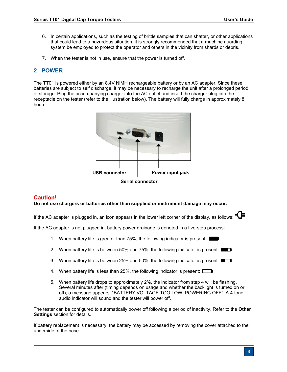- 6. In certain applications, such as the testing of brittle samples that can shatter, or other applications that could lead to a hazardous situation, it is strongly recommended that a machine guarding system be employed to protect the operator and others in the vicinity from shards or debris.
- 7. When the tester is not in use, ensure that the power is turned off.

## **2 POWER**

The TT01 is powered either by an 8.4V NiMH rechargeable battery or by an AC adapter. Since these batteries are subject to self discharge, it may be necessary to recharge the unit after a prolonged period of storage. Plug the accompanying charger into the AC outlet and insert the charger plug into the receptacle on the tester (refer to the illustration below). The battery will fully charge in approximately 8 hours.



**Serial connector** 

#### **Caution!**

**Do not use chargers or batteries other than supplied or instrument damage may occur.** 

If the AC adapter is plugged in, an icon appears in the lower left corner of the display, as follows:  $\Box$ 

If the AC adapter is not plugged in, battery power drainage is denoted in a five-step process:

- 1. When battery life is greater than 75%, the following indicator is present:
- 2. When battery life is between 50% and 75%, the following indicator is present:  $\blacksquare$
- 3. When battery life is between 25% and 50%, the following indicator is present:  $\square$
- 4. When battery life is less than 25%, the following indicator is present:
- 5. When battery life drops to approximately 2%, the indicator from step 4 will be flashing. Several minutes after (timing depends on usage and whether the backlight is turned on or off), a message appears, "BATTERY VOLTAGE TOO LOW. POWERING OFF". A 4-tone audio indicator will sound and the tester will power off.

The tester can be configured to automatically power off following a period of inactivity. Refer to the **Other Settings** section for details.

If battery replacement is necessary, the battery may be accessed by removing the cover attached to the underside of the base.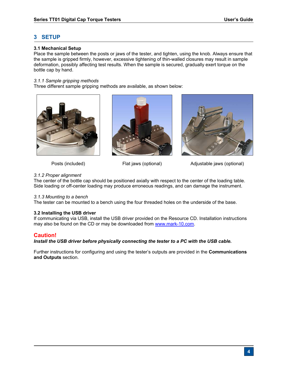## **3 SETUP**

#### **3.1 Mechanical Setup**

Place the sample between the posts or jaws of the tester, and tighten, using the knob. Always ensure that the sample is gripped firmly, however, excessive tightening of thin-walled closures may result in sample deformation, possibly affecting test results. When the sample is secured, gradually exert torque on the bottle cap by hand.

#### *3.1.1 Sample gripping methods*

Three different sample gripping methods are available, as shown below:







Posts (included) Flat jaws (optional) Adjustable jaws (optional)

#### *3.1.2 Proper alignment*

The center of the bottle cap should be positioned axially with respect to the center of the loading table. Side loading or off-center loading may produce erroneous readings, and can damage the instrument.

#### *3.1.3 Mounting to a bench*

The tester can be mounted to a bench using the four threaded holes on the underside of the base.

#### **3.2 Installing the USB driver**

If communicating via USB, install the USB driver provided on the Resource CD. Installation instructions may also be found on the CD or may be downloaded from www.mark-10.com.

#### **Caution!**

#### *Install the USB driver before physically connecting the tester to a PC with the USB cable.*

Further instructions for configuring and using the tester's outputs are provided in the **Communications and Outputs** section.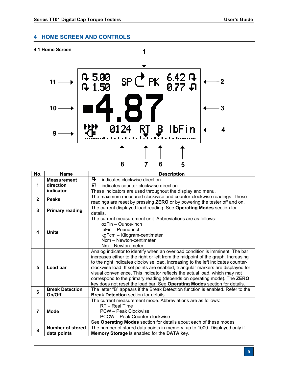## **4 HOME SCREEN AND CONTROLS**



| No.            | <b>Name</b>                     | <b>Description</b>                                                                                                                                                                                                                                                                                                                                                                                                                                                                                                                                                            |  |  |
|----------------|---------------------------------|-------------------------------------------------------------------------------------------------------------------------------------------------------------------------------------------------------------------------------------------------------------------------------------------------------------------------------------------------------------------------------------------------------------------------------------------------------------------------------------------------------------------------------------------------------------------------------|--|--|
|                | <b>Measurement</b>              | $\mathbf{F}$ – indicates clockwise direction                                                                                                                                                                                                                                                                                                                                                                                                                                                                                                                                  |  |  |
| 1              | direction                       | $\Box$ – indicates counter-clockwise direction                                                                                                                                                                                                                                                                                                                                                                                                                                                                                                                                |  |  |
| indicator      |                                 | These indicators are used throughout the display and menu.                                                                                                                                                                                                                                                                                                                                                                                                                                                                                                                    |  |  |
| $\mathbf{2}$   | <b>Peaks</b>                    | The maximum measured clockwise and counter-clockwise readings. These                                                                                                                                                                                                                                                                                                                                                                                                                                                                                                          |  |  |
|                |                                 | readings are reset by pressing ZERO or by powering the tester off and on.                                                                                                                                                                                                                                                                                                                                                                                                                                                                                                     |  |  |
| 3              | <b>Primary reading</b>          | The current displayed load reading. See Operating Modes section for                                                                                                                                                                                                                                                                                                                                                                                                                                                                                                           |  |  |
|                |                                 | details.                                                                                                                                                                                                                                                                                                                                                                                                                                                                                                                                                                      |  |  |
|                |                                 | The current measurement unit. Abbreviations are as follows:                                                                                                                                                                                                                                                                                                                                                                                                                                                                                                                   |  |  |
|                |                                 | ozFin – Ounce-inch                                                                                                                                                                                                                                                                                                                                                                                                                                                                                                                                                            |  |  |
| 4              | <b>Units</b>                    | IbFin - Pound-inch                                                                                                                                                                                                                                                                                                                                                                                                                                                                                                                                                            |  |  |
|                |                                 | kgFcm - Kilogram-centimeter                                                                                                                                                                                                                                                                                                                                                                                                                                                                                                                                                   |  |  |
|                |                                 | Ncm - Newton-centimeter                                                                                                                                                                                                                                                                                                                                                                                                                                                                                                                                                       |  |  |
|                |                                 | Nm - Newton-meter                                                                                                                                                                                                                                                                                                                                                                                                                                                                                                                                                             |  |  |
| 5              | Load bar                        | Analog indicator to identify when an overload condition is imminent. The bar<br>increases either to the right or left from the midpoint of the graph. Increasing<br>to the right indicates clockwise load, increasing to the left indicates counter-<br>clockwise load. If set points are enabled, triangular markers are displayed for<br>visual convenience. This indicator reflects the actual load, which may not<br>correspond to the primary reading (depends on operating mode). The ZERO<br>key does not reset the load bar. See Operating Modes section for details. |  |  |
|                | <b>Break Detection</b>          | The letter "B" appears if the Break Detection function is enabled. Refer to the                                                                                                                                                                                                                                                                                                                                                                                                                                                                                               |  |  |
| 6              | On/Off                          | <b>Break Detection section for details.</b>                                                                                                                                                                                                                                                                                                                                                                                                                                                                                                                                   |  |  |
| $\overline{7}$ | <b>Mode</b>                     | The current measurement mode. Abbreviations are as follows:<br>RT - Real Time<br>PCW - Peak Clockwise<br>PCCW - Peak Counter-clockwise<br>See Operating Modes section for details about each of these modes                                                                                                                                                                                                                                                                                                                                                                   |  |  |
| 8              | Number of stored<br>data points | The number of stored data points in memory, up to 1000. Displayed only if<br>Memory Storage is enabled for the DATA key.                                                                                                                                                                                                                                                                                                                                                                                                                                                      |  |  |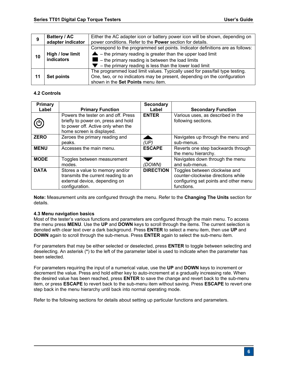|    | Battery / AC      | Either the AC adapter icon or battery power icon will be shown, depending on   |  |  |
|----|-------------------|--------------------------------------------------------------------------------|--|--|
|    | adapter indicator | power conditions. Refer to the <b>Power</b> section for details.               |  |  |
|    |                   | Correspond to the programmed set points. Indicator definitions are as follows: |  |  |
|    | High / low limit  | $\triangle$ – the primary reading is greater than the upper load limit         |  |  |
| 10 | indicators        | $\blacksquare$ – the primary reading is between the load limits                |  |  |
|    |                   | $\blacktriangleright$ - the primary reading is less than the lower load limit  |  |  |
|    |                   | The programmed load limit values. Typically used for pass/fail type testing.   |  |  |
|    | <b>Set points</b> | One, two, or no indicators may be present, depending on the configuration      |  |  |
|    |                   | shown in the Set Points menu item.                                             |  |  |

#### **4.2 Controls**

| <b>Primary</b> |                                                                                                                                               | <b>Secondary</b> |                                                                                                                            |
|----------------|-----------------------------------------------------------------------------------------------------------------------------------------------|------------------|----------------------------------------------------------------------------------------------------------------------------|
| Label          | <b>Primary Function</b>                                                                                                                       | Label            | <b>Secondary Function</b>                                                                                                  |
| ပ              | Powers the tester on and off. Press<br>briefly to power on, press and hold<br>to power off. Active only when the<br>home screen is displayed. | <b>ENTER</b>     | Various uses, as described in the<br>following sections.                                                                   |
| <b>ZERO</b>    | Zeroes the primary reading and<br>peaks.                                                                                                      | (UP)             | Navigates up through the menu and<br>sub-menus.                                                                            |
| <b>MENU</b>    | Accesses the main menu.                                                                                                                       | <b>ESCAPE</b>    | Reverts one step backwards through<br>the menu hierarchy.                                                                  |
| <b>MODE</b>    | Toggles between measurement<br>modes.                                                                                                         | (DOWN)           | Navigates down through the menu<br>and sub-menus.                                                                          |
| <b>DATA</b>    | Stores a value to memory and/or<br>transmits the current reading to an<br>external device, depending on<br>configuration.                     | <b>DIRECTION</b> | Toggles between clockwise and<br>counter-clockwise directions while<br>configuring set points and other menu<br>functions. |

**Note:** Measurement units are configured through the menu. Refer to the **Changing The Units** section for details.

#### **4.3 Menu navigation basics**

Most of the tester's various functions and parameters are configured through the main menu. To access the menu press **MENU**. Use the **UP** and **DOWN** keys to scroll through the items. The current selection is denoted with clear text over a dark background. Press **ENTER** to select a menu item, then use **UP** and **DOWN** again to scroll through the sub-menus. Press **ENTER** again to select the sub-menu item.

For parameters that may be either selected or deselected, press **ENTER** to toggle between selecting and deselecting. An asterisk (**\***) to the left of the parameter label is used to indicate when the parameter has been selected.

For parameters requiring the input of a numerical value, use the **UP** and **DOWN** keys to increment or decrement the value. Press and hold either key to auto-increment at a gradually increasing rate. When the desired value has been reached, press **ENTER** to save the change and revert back to the sub-menu item, or press **ESCAPE** to revert back to the sub-menu item without saving. Press **ESCAPE** to revert one step back in the menu hierarchy until back into normal operating mode.

Refer to the following sections for details about setting up particular functions and parameters.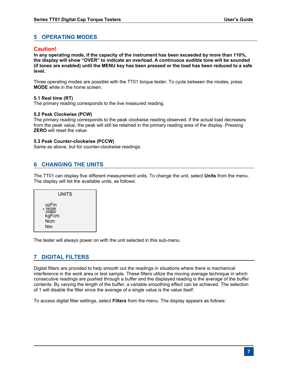## **5 OPERATING MODES**

#### **Caution!**

**In any operating mode, if the capacity of the instrument has been exceeded by more than 110%, the display will show "OVER" to indicate an overload. A continuous audible tone will be sounded (if tones are enabled) until the MENU key has been pressed or the load has been reduced to a safe level.** 

Three operating modes are possible with the TT01 torque tester. To cycle between the modes, press **MODE** while in the home screen.

#### **5.1 Real time (RT)**

The primary reading corresponds to the live measured reading.

#### **5.2 Peak Clockwise (PCW)**

The primary reading corresponds to the peak clockwise reading observed. If the actual load decreases from the peak value, the peak will still be retained in the primary reading area of the display. Pressing **ZERO** will reset the value.

#### **5.3 Peak Counter-clockwise (PCCW)**

Same as above, but for counter-clockwise readings.

## **6 CHANGING THE UNITS**

The TT01 can display five different measurement units. To change the unit, select **Units** from the menu. The display will list the available units, as follows:

UNITS ozFin \* lbFin kgFcm Ncm Nm

The tester will always power on with the unit selected in this sub-menu.

## **7 DIGITAL FILTERS**

Digital filters are provided to help smooth out the readings in situations where there is mechanical interference in the work area or test sample. These filters utilize the moving average technique in which consecutive readings are pushed through a buffer and the displayed reading is the average of the buffer contents. By varying the length of the buffer, a variable smoothing effect can be achieved. The selection of 1 will disable the filter since the average of a single value is the value itself.

To access digital filter settings, select **Filters** from the menu. The display appears as follows: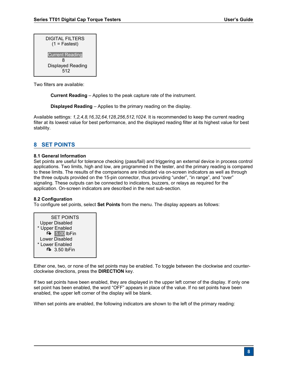| DIGITAL FILTERS<br>$(1 = Fastest)$ |
|------------------------------------|
| <b>Current Reading</b><br>8        |
| Displayed Reading<br>512           |

Two filters are available:

**Current Reading** – Applies to the peak capture rate of the instrument.

**Displayed Reading** – Applies to the primary reading on the display.

Available settings: *1,2,4,8,16,32,64,128,256,512,1024.* It is recommended to keep the current reading filter at its lowest value for best performance, and the displayed reading filter at its highest value for best stability.

## **8 SET POINTS**

#### **8.1 General Information**

Set points are useful for tolerance checking (pass/fail) and triggering an external device in process control applications. Two limits, high and low, are programmed in the tester, and the primary reading is compared to these limits. The results of the comparisons are indicated via on-screen indicators as well as through the three outputs provided on the 15-pin connector, thus providing "under", "in range", and "over" signaling. These outputs can be connected to indicators, buzzers, or relays as required for the application. On-screen indicators are described in the next sub-section.

#### **8.2 Configuration**

To configure set points, select **Set Points** from the menu. The display appears as follows:



Either one, two, or none of the set points may be enabled. To toggle between the clockwise and counterclockwise directions, press the **DIRECTION** key.

If two set points have been enabled, they are displayed in the upper left corner of the display. If only one set point has been enabled, the word "OFF" appears in place of the value. If no set points have been enabled, the upper left corner of the display will be blank.

When set points are enabled, the following indicators are shown to the left of the primary reading: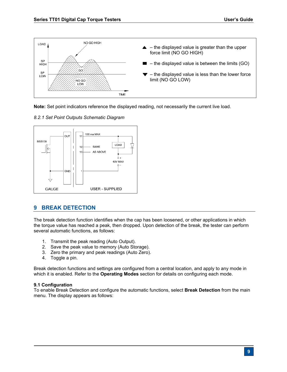

**Note:** Set point indicators reference the displayed reading, not necessarily the current live load.





## **9 BREAK DETECTION**

The break detection function identifies when the cap has been loosened, or other applications in which the torque value has reached a peak, then dropped. Upon detection of the break, the tester can perform several automatic functions, as follows:

- 1. Transmit the peak reading (Auto Output).
- 2. Save the peak value to memory (Auto Storage).
- 3. Zero the primary and peak readings (Auto Zero).
- 4. Toggle a pin.

Break detection functions and settings are configured from a central location, and apply to any mode in which it is enabled. Refer to the **Operating Modes** section for details on configuring each mode.

#### **9.1 Configuration**

To enable Break Detection and configure the automatic functions, select **Break Detection** from the main menu. The display appears as follows: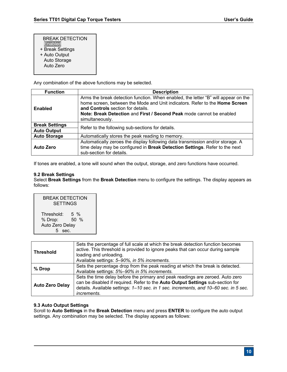#### BREAK DETECTION

- **Enabled**
- + Break Settings
- + Auto Output
- Auto Storage
- Auto Zero

Any combination of the above functions may be selected.

| <b>Function</b>       | <b>Description</b>                                                                                                                                                                                                                                                                                |  |
|-----------------------|---------------------------------------------------------------------------------------------------------------------------------------------------------------------------------------------------------------------------------------------------------------------------------------------------|--|
| Enabled               | Arms the break detection function. When enabled, the letter "B" will appear on the<br>home screen, between the Mode and Unit indicators. Refer to the Home Screen<br>and Controls section for details.<br>Note: Break Detection and First / Second Peak mode cannot be enabled<br>simultaneously. |  |
| <b>Break Settings</b> | Refer to the following sub-sections for details.                                                                                                                                                                                                                                                  |  |
| <b>Auto Output</b>    |                                                                                                                                                                                                                                                                                                   |  |
| <b>Auto Storage</b>   | Automatically stores the peak reading to memory.                                                                                                                                                                                                                                                  |  |
| <b>Auto Zero</b>      | Automatically zeroes the display following data transmission and/or storage. A<br>time delay may be configured in Break Detection Settings. Refer to the next<br>sub-section for details.                                                                                                         |  |

If tones are enabled, a tone will sound when the output, storage, and zero functions have occurred.

#### **9.2 Break Settings**

Select **Break Settings** from the **Break Detection** menu to configure the settings. The display appears as follows:

| BREAK DETECTION<br><b>SETTINGS</b> |               |  |
|------------------------------------|---------------|--|
| Threshold:<br>% Drop:              | 5 %<br>$50\%$ |  |
| Auto Zero Delay                    |               |  |
| sec.                               |               |  |

| <b>Threshold</b>       | Sets the percentage of full scale at which the break detection function becomes<br>active. This threshold is provided to ignore peaks that can occur during sample<br>loading and unloading.<br>Available settings: 5-90%, in 5% increments.                                    |
|------------------------|---------------------------------------------------------------------------------------------------------------------------------------------------------------------------------------------------------------------------------------------------------------------------------|
| % Drop                 | Sets the percentage drop from the peak reading at which the break is detected.<br>Available settings: 5%-90% in 5% increments.                                                                                                                                                  |
| <b>Auto Zero Delay</b> | Sets the time delay before the primary and peak readings are zeroed. Auto zero<br>can be disabled if required. Refer to the Auto Output Settings sub-section for<br>details. Available settings: 1-10 sec. in 1 sec. increments, and 10-60 sec. in 5 sec.<br><i>increments.</i> |

#### **9.3 Auto Output Settings**

Scroll to **Auto Settings** in the **Break Detection** menu and press **ENTER** to configure the auto output settings. Any combination may be selected. The display appears as follows: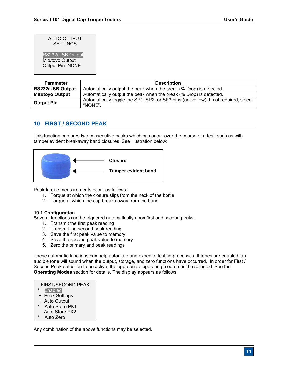#### AUTO OUTPUT **SETTINGS**

RS232/USB Output

 Mitutoyo Output Output Pin: NONE

| <b>Parameter</b>                                                                                                     | <b>Description</b>                                                 |  |
|----------------------------------------------------------------------------------------------------------------------|--------------------------------------------------------------------|--|
| <b>RS232/USB Output</b>                                                                                              | Automatically output the peak when the break (% Drop) is detected. |  |
| <b>Mitutoyo Output</b>                                                                                               | Automatically output the peak when the break (% Drop) is detected. |  |
| Automatically toggle the SP1, SP2, or SP3 pins (active low). If not required, select<br><b>Output Pin</b><br>"NONE". |                                                                    |  |

## **10 FIRST / SECOND PEAK**

This function captures two consecutive peaks which can occur over the course of a test, such as with tamper evident breakaway band closures. See illustration below:



Peak torque measurements occur as follows:

- 1. Torque at which the closure slips from the neck of the bottle
- 2. Torque at which the cap breaks away from the band

#### **10.1 Configuration**

Several functions can be triggered automatically upon first and second peaks:

- 1. Transmit the first peak reading
- 2. Transmit the second peak reading
- 3. Save the first peak value to memory
- 4. Save the second peak value to memory
- 5. Zero the primary and peak readings

These automatic functions can help automate and expedite testing processes. If tones are enabled, an audible tone will sound when the output, storage, and zero functions have occurred. In order for First / Second Peak detection to be active, the appropriate operating mode must be selected. See the **Operating Modes** section for details. The display appears as follows:

#### FIRST/SECOND PEAK

- **Enabled**
- + Peak Settings
- + Auto Output
- Auto Store PK1
- Auto Store PK2
- Auto Zero

Any combination of the above functions may be selected.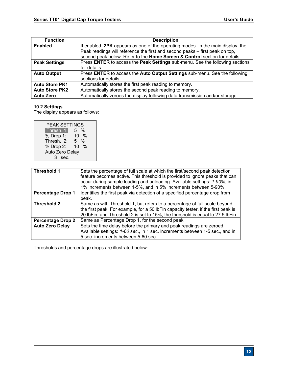| <b>Function</b>       | <b>Description</b>                                                              |  |
|-----------------------|---------------------------------------------------------------------------------|--|
| <b>Enabled</b>        | If enabled, 2PK appears as one of the operating modes. In the main display, the |  |
|                       | Peak readings will reference the first and second peaks – first peak on top,    |  |
|                       | second peak below. Refer to the Home Screen & Control section for details.      |  |
| <b>Peak Settings</b>  | Press ENTER to access the Peak Settings sub-menu. See the following sections    |  |
|                       | for details.                                                                    |  |
| <b>Auto Output</b>    | Press ENTER to access the Auto Output Settings sub-menu. See the following      |  |
|                       | sections for details.                                                           |  |
| <b>Auto Store PK1</b> | Automatically stores the first peak reading to memory.                          |  |
| <b>Auto Store PK2</b> | Automatically stores the second peak reading to memory.                         |  |
| <b>Auto Zero</b>      | Automatically zeroes the display following data transmission and/or storage.    |  |

#### **10.2 Settings**

The display appears as follows:

| PEAK SETTINGS   |                    |  |
|-----------------|--------------------|--|
| Thresh. 1:      | $\frac{0}{0}$<br>5 |  |
| % Drop 1:       | $10 \frac{9}{6}$   |  |
| Thresh. 2:      | %<br>5             |  |
| % Drop 2:       | %<br>10            |  |
| Auto Zero Delay |                    |  |
| sec.<br>3       |                    |  |

| Threshold 1              | Sets the percentage of full scale at which the first/second peak detection<br>feature becomes active. This threshold is provided to ignore peaks that can<br>occur during sample loading and unloading. Available settings: 1-90%, in<br>1% increments between 1-5%, and in 5% increments between 5-90%. |
|--------------------------|----------------------------------------------------------------------------------------------------------------------------------------------------------------------------------------------------------------------------------------------------------------------------------------------------------|
| <b>Percentage Drop 1</b> | Identifies the first peak via detection of a specified percentage drop from<br>peak.                                                                                                                                                                                                                     |
| Threshold 2              | Same as with Threshold 1, but refers to a percentage of full scale beyond<br>the first peak. For example, for a 50 lbFin capacity tester, if the first peak is<br>20 lbFin, and Threshold 2 is set to 15%, the threshold is equal to 27.5 lbFin.                                                         |
| <b>Percentage Drop 2</b> | Same as Percentage Drop 1, for the second peak.                                                                                                                                                                                                                                                          |
| <b>Auto Zero Delay</b>   | Sets the time delay before the primary and peak readings are zeroed.<br>Available settings: 1-60 sec., in 1 sec. increments between 1-5 sec., and in<br>5 sec. increments between 5-60 sec.                                                                                                              |

Thresholds and percentage drops are illustrated below: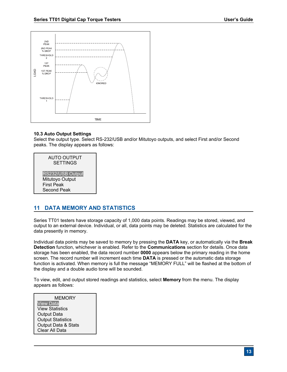

#### **10.3 Auto Output Settings**

Select the output type. Select RS-232/USB and/or Mitutoyo outputs, and select First and/or Second peaks. The display appears as follows:

| <b>AUTO OUTPUT</b><br><b>SETTINGS</b>                                   |  |
|-------------------------------------------------------------------------|--|
| RS232/USB Output<br>Mitutoyo Output<br><b>First Peak</b><br>Second Peak |  |
|                                                                         |  |

## **11 DATA MEMORY AND STATISTICS**

Series TT01 testers have storage capacity of 1,000 data points. Readings may be stored, viewed, and output to an external device. Individual, or all, data points may be deleted. Statistics are calculated for the data presently in memory.

Individual data points may be saved to memory by pressing the **DATA** key, or automatically via the **Break Detection** function, whichever is enabled. Refer to the **Communications** section for details. Once data storage has been enabled, the data record number **0000** appears below the primary reading in the home screen. The record number will increment each time **DATA** is pressed or the automatic data storage function is activated. When memory is full the message "MEMORY FULL" will be flashed at the bottom of the display and a double audio tone will be sounded.

To view, edit, and output stored readings and statistics, select **Memory** from the menu. The display appears as follows:

**MEMORY** View Data View Statistics Output Data Output Statistics Output Data & Stats Clear All Data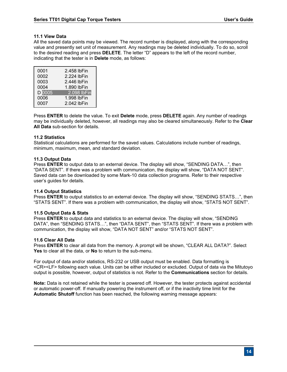#### **11.1 View Data**

All the saved data points may be viewed. The record number is displayed, along with the corresponding value and presently set unit of measurement. Any readings may be deleted individually. To do so, scroll to the desired reading and press **DELETE**. The letter "D" appears to the left of the record number, indicating that the tester is in **Delete** mode, as follows:

| 0001   | 2.458 lbFin |
|--------|-------------|
| 0002   | 2.224 lbFin |
| 0003   | 2.446 lbFin |
| 0004   | 1.890 lbFin |
| D 0005 | 2.098 lbFin |
| 0006   | 1.998 lbFin |
| 0007   | 2.042 lbFin |

Press **ENTER** to delete the value. To exit **Delete** mode, press **DELETE** again. Any number of readings may be individually deleted, however, all readings may also be cleared simultaneously. Refer to the **Clear All Data** sub-section for details.

#### **11.2 Statistics**

Statistical calculations are performed for the saved values. Calculations include number of readings, minimum, maximum, mean, and standard deviation.

#### **11.3 Output Data**

Press **ENTER** to output data to an external device. The display will show, "SENDING DATA…", then "DATA SENT". If there was a problem with communication, the display will show, "DATA NOT SENT". Saved data can be downloaded by some Mark-10 data collection programs. Refer to their respective user's guides for details.

#### **11.4 Output Statistics**

Press **ENTER** to output statistics to an external device. The display will show, "SENDING STATS…", then "STATS SENT". If there was a problem with communication, the display will show, "STATS NOT SENT".

#### **11.5 Output Data & Stats**

Press **ENTER** to output data and statistics to an external device. The display will show, "SENDING DATA", then "SENDING STATS…", then "DATA SENT", then "STATS SENT". If there was a problem with communication, the display will show, "DATA NOT SENT" and/or "STATS NOT SENT".

#### **11.6 Clear All Data**

Press **ENTER** to clear all data from the memory. A prompt will be shown, "CLEAR ALL DATA?". Select **Yes** to clear all the data, or **No** to return to the sub-menu.

For output of data and/or statistics, RS-232 or USB output must be enabled. Data formatting is <CR><LF> following each value. Units can be either included or excluded. Output of data via the Mitutoyo output is possible, however, output of statistics is not. Refer to the **Communications** section for details.

**Note:** Data is not retained while the tester is powered off. However, the tester protects against accidental or automatic power-off. If manually powering the instrument off, or if the inactivity time limit for the **Automatic Shutoff** function has been reached, the following warning message appears: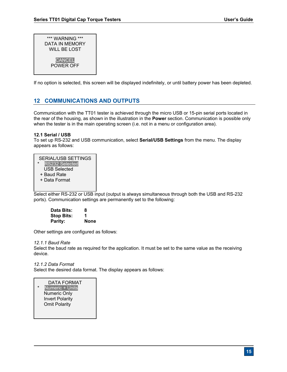| *** WARNING ***<br>DATA IN MEMORY<br>WILL BE LOST |
|---------------------------------------------------|
| <b>CANCEL</b><br>POWER OFF                        |

If no option is selected, this screen will be displayed indefinitely, or until battery power has been depleted.

## **12 COMMUNICATIONS AND OUTPUTS**

Communication with the TT01 tester is achieved through the micro USB or 15-pin serial ports located in the rear of the housing, as shown in the illustration in the **Power** section. Communication is possible only when the tester is in the main operating screen (i.e. not in a menu or configuration area).

#### **12.1 Serial / USB**

To set up RS-232 and USB communication, select **Serial/USB Settings** from the menu. The display appears as follows:

Select either RS-232 or USB input (output is always simultaneous through both the USB and RS-232 ports). Communication settings are permanently set to the following:

| Data Bits:        | 8           |
|-------------------|-------------|
| <b>Stop Bits:</b> | 1           |
| Parity:           | <b>None</b> |

Other settings are configured as follows:

#### *12.1.1 Baud Rate*

Select the baud rate as required for the application. It must be set to the same value as the receiving device.

#### *12.1.2 Data Format*

Select the desired data format. The display appears as follows:

#### DATA FORMAT

Numeric + Units Numeric Only Invert Polarity Omit Polarity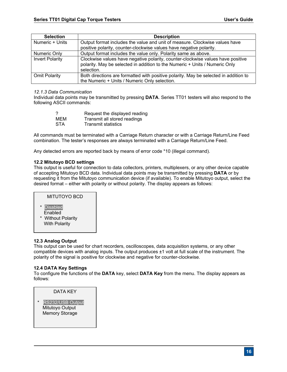| <b>Selection</b>       | <b>Description</b>                                                                                                                                                           |
|------------------------|------------------------------------------------------------------------------------------------------------------------------------------------------------------------------|
| Numeric + Units        | Output format includes the value and unit of measure. Clockwise values have                                                                                                  |
|                        | positive polarity, counter-clockwise values have negative polarity.                                                                                                          |
| Numeric Only           | Output format includes the value only. Polarity same as above.                                                                                                               |
| <b>Invert Polarity</b> | Clockwise values have negative polarity, counter-clockwise values have positive<br>polarity. May be selected in addition to the Numeric + Units / Numeric Only<br>selection. |
| <b>Omit Polarity</b>   | Both directions are formatted with positive polarity. May be selected in addition to                                                                                         |
|                        | the Numeric + Units / Numeric Only selection.                                                                                                                                |

#### *12.1.3 Data Communication*

Individual data points may be transmitted by pressing **DATA**. Series TT01 testers will also respond to the following ASCII commands:

|            | Request the displayed reading |
|------------|-------------------------------|
| MEM        | Transmit all stored readings  |
| <b>STA</b> | <b>Transmit statistics</b>    |

All commands must be terminated with a Carriage Return character or with a Carriage Return/Line Feed combination. The tester's responses are always terminated with a Carriage Return/Line Feed.

Any detected errors are reported back by means of error code \*10 (illegal command).

#### **12.2 Mitutoyo BCD settings**

This output is useful for connection to data collectors, printers, multiplexers, or any other device capable of accepting Mitutoyo BCD data. Individual data points may be transmitted by pressing **DATA** or by requesting it from the Mitutoyo communication device (if available). To enable Mitutoyo output, select the desired format – either with polarity or without polarity. The display appears as follows:

## MITUTOYO BCD

- \* Disabled **Enabled**
- \* Without Polarity With Polarity

#### **12.3 Analog Output**

This output can be used for chart recorders, oscilloscopes, data acquisition systems, or any other compatible devices with analog inputs. The output produces ±1 volt at full scale of the instrument. The polarity of the signal is positive for clockwise and negative for counter-clockwise.

#### **12.4 DATA Key Settings**

To configure the functions of the **DATA** key, select **DATA Key** from the menu. The display appears as follows:

DATA KEY

RS232/USB Output Mitutoyo Output Memory Storage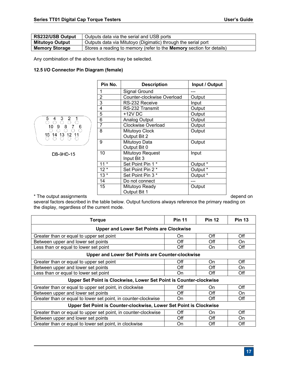| RS232/USB Output       | Outputs data via the serial and USB ports                                   |  |
|------------------------|-----------------------------------------------------------------------------|--|
| <b>Mitutoyo Output</b> | Outputs data via Mitutoyo (Digimatic) through the serial port               |  |
| <b>Memory Storage</b>  | Stores a reading to memory (refer to the <b>Memory</b> section for details) |  |

Any combination of the above functions may be selected.

#### **12.5 I/O Connector Pin Diagram (female)**



DB-9HD-15

| Pin No. | <b>Description</b>         | Input / Output |
|---------|----------------------------|----------------|
| 1       | Signal Ground              |                |
| 2       | Counter-clockwise Overload | Output         |
| 3       | RS-232 Receive             | Input          |
| 4       | RS-232 Transmit            | Output         |
| 5       | $+12V$ DC                  | Output         |
| 6       | Analog Output              | Output         |
| 7       | <b>Clockwise Overload</b>  | Output         |
| 8       | Mitutoyo Clock             | Output         |
|         | Output Bit 2               |                |
| 9       | Mitutoyo Data              | Output         |
|         | Output Bit 0               |                |
| 10      | Mitutoyo Request           | Input          |
|         | Input Bit 3                |                |
| $11*$   | Set Point Pin 1*           | Output *       |
| $12*$   | Set Point Pin 2 *          | Output *       |
| $13*$   | Set Point Pin 3 *          | Output *       |
| 14      | Do not connect             |                |
| 15      | Mitutoyo Ready             | Output         |
|         | Output Bit 1               |                |

\* The output assignments depend on the control of the control of the control of the control of the control of the control of the control of the control of the control of the control of the control of the control of the con

several factors described in the table below. Output functions always reference the primary reading on the display, regardless of the current mode.

| <b>Torque</b>                                                      | <b>Pin 11</b> | <b>Pin 12</b> | <b>Pin 13</b> |
|--------------------------------------------------------------------|---------------|---------------|---------------|
| <b>Upper and Lower Set Points are Clockwise</b>                    |               |               |               |
| Greater than or equal to upper set point                           | On            | Off           | Off           |
| Between upper and lower set points                                 | Off           | Off           | On            |
| Less than or equal to lower set point                              | Off           | On            | Off           |
| <b>Upper and Lower Set Points are Counter-clockwise</b>            |               |               |               |
| Greater than or equal to upper set point                           | Off           | On            | Off           |
| Between upper and lower set points                                 | Off           | Off           | On            |
| ess than or equal to lower set point                               | On            | Off           | Off           |
| Upper Set Point is Clockwise, Lower Set Point is Counter-clockwise |               |               |               |
| Greater than or equal to upper set point, in clockwise             | Off           | On            | Off           |
| Between upper and lower set points                                 | Off           | Off           | On            |
| Greater than or equal to lower set point, in counter-clockwise     | On            | Off           | Off           |
| Upper Set Point is Counter-clockwise, Lower Set Point is Clockwise |               |               |               |
| Greater than or equal to upper set point, in counter-clockwise     | Off           | On            | Off           |
| Between upper and lower set points                                 | Off           | Off           | On            |
| Greater than or equal to lower set point, in clockwise             | On            | Off           | Off           |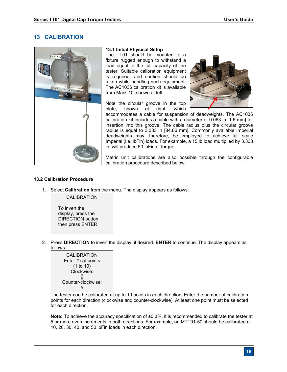## **13 CALIBRATION**



#### **13.1 Initial Physical Setup**

The TT01 should be mounted to a fixture rugged enough to withstand a load equal to the full capacity of the tester. Suitable calibration equipment is required, and caution should be taken while handling such equipment. The AC1036 calibration kit is available from Mark-10, shown at left.

Note the circular groove in the top plate, shown at right, which



accommodates a cable for suspension of deadweights. The AC1036 calibration kit includes a cable with a diameter of 0.063 in [1.6 mm] for insertion into this groove. The cable radius plus the circular groove radius is equal to 3.333 in [84.66 mm]. Commonly available Imperial deadweights may, therefore, be employed to achieve full scale Imperial (i.e. lbFin) loads. For example, a 15 lb load multiplied by 3.333 in. will produce 50 lbFin of torque.

Metric unit calibrations are also possible through the configurable calibration procedure described below:

#### **13.2 Calibration Procedure**

1. Select **Calibration** from the menu. The display appears as follows:

 To invert the display, press the DIRECTION button, then press ENTER.

CALIBRATION

2. Press **DIRECTION** to invert the display, if desired. **ENTER** to continue. The display appears as follows:



The tester can be calibrated at up to 10 points in each direction. Enter the number of calibration points for each direction (clockwise and counter-clockwise). At least one point must be selected for each direction.

**Note:** To achieve the accuracy specification of  $\pm 0.3$ %, it is recommended to calibrate the tester at 5 or more even increments in both directions. For example, an MTT01-50 should be calibrated at 10, 20, 30, 40, and 50 lbFin loads in each direction.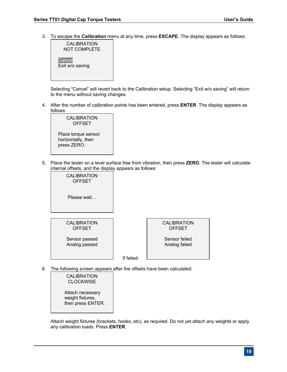3. To escape the **Calibration** menu at any time, press **ESCAPE**. The display appears as follows:



Selecting "Cancel" will revert back to the Calibration setup. Selecting "Exit w/o saving" will return to the menu without saving changes.

4. After the number of calibration points has been entered, press **ENTER**. The display appears as follows:

| CALIBRATION<br><b>OFFSET</b>                             |  |
|----------------------------------------------------------|--|
| Place torque sensor<br>horizontally, then<br>press ZERO. |  |

5. Place the tester on a level surface free from vibration, then press **ZERO**. The tester will calculate internal offsets, and the display appears as follows:



6. The following screen appears after the offsets have been calculated:

CALIBRATION **CLOCKWISE** Attach necessary weight fixtures, then press ENTER.

Attach weight fixtures (brackets, hooks, etc), as required. Do not yet attach any weights or apply any calibration loads. Press **ENTER**.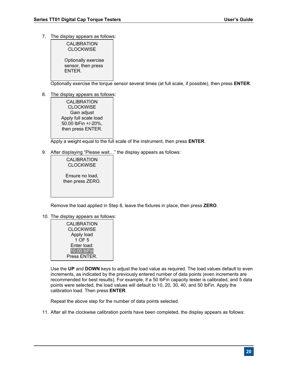7. The display appears as follows:

| CALIBRATION<br><b>CLOCKWISE</b> |
|---------------------------------|
| Optionally exercise             |

sensor, then press ENTER.

Optionally exercise the torque sensor several times (at full scale, if possible), then press **ENTER**.

8. The display appears as follows:

CALIBRATION **CLOCKWISE** Gain adjust Apply full scale load 50.00 lbFin +/-20%, then press ENTER.

Apply a weight equal to the full scale of the instrument, then press **ENTER**.

9. After displaying "Please wait…" the display appears as follows:

CALIBRATION **CLOCKWISE** Ensure no load, then press ZERO.

Remove the load applied in Step 8, leave the fixtures in place, then press **ZERO**.

10. The display appears as follows:

| <b>CALIBRATION</b><br><b>CLOCKWISE</b> |  |
|----------------------------------------|--|
| Apply load                             |  |
| 1 OF 5                                 |  |
| Enter load:                            |  |
| 10.00 lbFin                            |  |
| Press ENTER.                           |  |

Use the **UP** and **DOWN** keys to adjust the load value as required. The load values default to even increments, as indicated by the previously entered number of data points (even increments are recommended for best results). For example, if a 50 lbFin capacity tester is calibrated, and 5 data points were selected, the load values will default to 10, 20, 30, 40, and 50 lbFin. Apply the calibration load. Then press **ENTER**.

Repeat the above step for the number of data points selected.

11. After all the clockwise calibration points have been completed, the display appears as follows: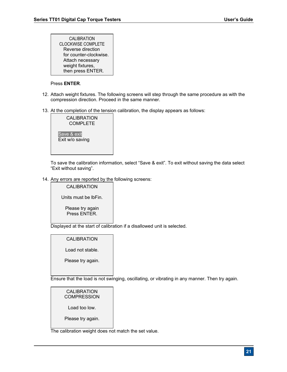| <b>CALIBRATION</b>        |
|---------------------------|
| <b>CLOCKWISE COMPLETE</b> |
| Reverse direction         |
| for counter-clockwise.    |
| Attach necessary          |
| weight fixtures,          |
| then press ENTER.         |

#### Press **ENTER**.

- 12. Attach weight fixtures. The following screens will step through the same procedure as with the compression direction. Proceed in the same manner.
- 13. At the completion of the tension calibration, the display appears as follows:



To save the calibration information, select "Save & exit". To exit without saving the data select "Exit without saving".

14. Any errors are reported by the following screens:



Displayed at the start of calibration if a disallowed unit is selected.

#### CALIBRATION

Load not stable.

Please try again.

Ensure that the load is not swinging, oscillating, or vibrating in any manner. Then try again.

CALIBRATION COMPRESSION Load too low. Please try again.

The calibration weight does not match the set value.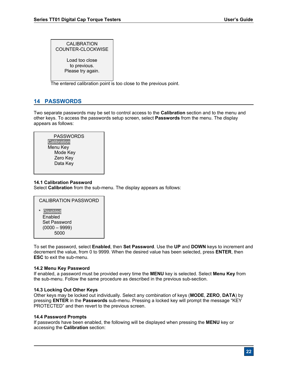CALIBRATION COUNTER-CLOCKWISE Load too close to previous. Please try again.

The entered calibration point is too close to the previous point.

## **14 PASSWORDS**

Two separate passwords may be set to control access to the **Calibration** section and to the menu and other keys. To access the passwords setup screen, select **Passwords** from the menu. The display appears as follows:

| PASSWORDS   |  |
|-------------|--|
| Calibration |  |
| Menu Key    |  |
| Mode Key    |  |
| Zero Key    |  |
| Data Key    |  |
|             |  |

#### **14.1 Calibration Password**

Select **Calibration** from the sub-menu. The display appears as follows:



 Enabled Set Password (0000 – 9999) 5000

To set the password, select **Enabled**, then **Set Password**. Use the **UP** and **DOWN** keys to increment and decrement the value, from 0 to 9999. When the desired value has been selected, press **ENTER**, then **ESC** to exit the sub-menu.

#### **14.2 Menu Key Password**

If enabled, a password must be provided every time the **MENU** key is selected. Select **Menu Key** from the sub-menu. Follow the same procedure as described in the previous sub-section.

#### **14.3 Locking Out Other Keys**

Other keys may be locked out individually. Select any combination of keys (**MODE**, **ZERO**, **DATA**) by pressing **ENTER** in the **Passwords** sub-menu. Pressing a locked key will prompt the message "KEY PROTECTED" and then revert to the previous screen.

#### **14.4 Password Prompts**

If passwords have been enabled, the following will be displayed when pressing the **MENU** key or accessing the **Calibration** section: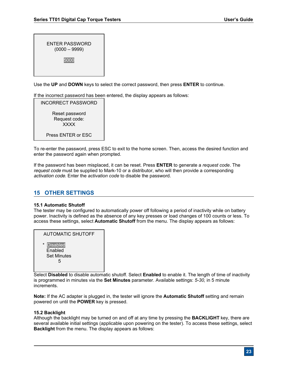| ENTER PASSWORD<br>$(0000 - 9999)$ |  |
|-----------------------------------|--|
| 5000                              |  |

Use the **UP** and **DOWN** keys to select the correct password, then press **ENTER** to continue.

If the incorrect password has been entered, the display appears as follows:

INCORRECT PASSWORD Reset password Request code: XXXX Press ENTER or ESC

To re-enter the password, press ESC to exit to the home screen. Then, access the desired function and enter the password again when prompted.

If the password has been misplaced, it can be reset. Press **ENTER** to generate a *request code*. The *request code* must be supplied to Mark-10 or a distributor, who will then provide a corresponding *activation code*. Enter the *activation code* to disable the password.

## **15 OTHER SETTINGS**

#### **15.1 Automatic Shutoff**

The tester may be configured to automatically power off following a period of inactivity while on battery power. Inactivity is defined as the absence of any key presses or load changes of 100 counts or less. To access these settings, select **Automatic Shutoff** from the menu. The display appears as follows:

| AUTOMATIC SHUTOFF                                                |  |
|------------------------------------------------------------------|--|
| <b>Disabled</b><br>$\star$<br>Enabled<br><b>Set Minutes</b><br>5 |  |

Select **Disabled** to disable automatic shutoff. Select **Enabled** to enable it. The length of time of inactivity is programmed in minutes via the **Set Minutes** parameter. Available settings: *5-30,* in 5 minute increments.

**Note:** If the AC adapter is plugged in, the tester will ignore the **Automatic Shutoff** setting and remain powered on until the **POWER** key is pressed.

#### **15.2 Backlight**

Although the backlight may be turned on and off at any time by pressing the **BACKLIGHT** key, there are several available initial settings (applicable upon powering on the tester). To access these settings, select **Backlight** from the menu. The display appears as follows: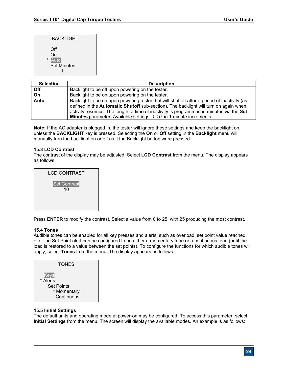| BACKLIGHT                                          |  |
|----------------------------------------------------|--|
| Off<br>On<br>Auto<br>$\star$<br><b>Set Minutes</b> |  |

| <b>Selection</b> | <b>Description</b>                                                                          |
|------------------|---------------------------------------------------------------------------------------------|
| Off              | Backlight to be off upon powering on the tester.                                            |
| $\overline{On}$  | Backlight to be on upon powering on the tester.                                             |
| <b>Auto</b>      | Backlight to be on upon powering tester, but will shut off after a period of inactivity (as |
|                  | defined in the <b>Automatic Shutoff</b> sub-section). The backlight will turn on again when |
|                  | activity resumes. The length of time of inactivity is programmed in minutes via the Set     |
|                  | <b>Minutes</b> parameter. Available settings: 1-10, in 1 minute increments.                 |

**Note:** If the AC adapter is plugged in, the tester will ignore these settings and keep the backlight on, unless the **BACKLIGHT** key is pressed. Selecting the **On** or **Off** setting in the **Backlight** menu will manually turn the backlight on or off as if the Backlight button were pressed.

#### **15.3 LCD Contrast**

The contrast of the display may be adjusted. Select **LCD Contrast** from the menu. The display appears as follows:



Press **ENTER** to modify the contrast. Select a value from 0 to 25, with 25 producing the most contrast.

#### **15.4 Tones**

Audible tones can be enabled for all key presses and alerts, such as overload, set point value reached, etc. The Set Point alert can be configured to be either a momentary tone or a continuous tone (until the load is restored to a value between the set points). To configure the functions for which audible tones will apply, select **Tones** from the menu. The display appears as follows:



#### **15.5 Initial Settings**

The default units and operating mode at power-on may be configured. To access this parameter, select **Initial Settings** from the menu. The screen will display the available modes. An example is as follows: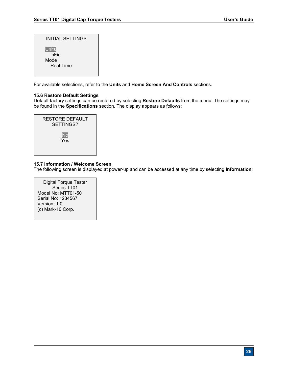| INITIAL SETTINGS                                         |  |
|----------------------------------------------------------|--|
| <b>Units</b><br><b>IbFin</b><br>Mode<br><b>Real Time</b> |  |

For available selections, refer to the **Units** and **Home Screen And Controls** sections.

#### **15.6 Restore Default Settings**

Default factory settings can be restored by selecting **Restore Defaults** from the menu. The settings may be found in the **Specifications** section. The display appears as follows:



#### **15.7 Information / Welcome Screen**

The following screen is displayed at power-up and can be accessed at any time by selecting **Information**:

Digital Torque Tester Series TT01 Model No: MTT01-50 Serial No: 1234567 Version: 1.0 (c) Mark-10 Corp.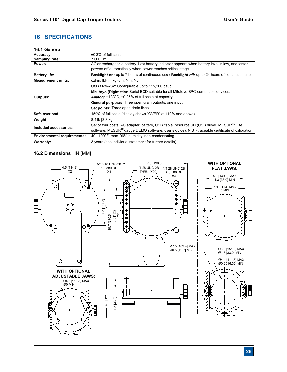## **16 SPECIFICATIONS**

#### **16.1 General**

| Accuracy:                          | $\pm 0.3\%$ of full scale                                                                                     |  |
|------------------------------------|---------------------------------------------------------------------------------------------------------------|--|
| Sampling rate:                     | 7.000 Hz                                                                                                      |  |
| Power:                             | AC or rechargeable battery. Low battery indicator appears when battery level is low, and tester               |  |
|                                    | powers off automatically when power reaches critical stage.                                                   |  |
| <b>Battery life:</b>               | <b>Backlight on:</b> up to 7 hours of continuous use / <b>Backlight off:</b> up to 24 hours of continuous use |  |
| <b>Measurement units:</b>          | ozFin, IbFin, kgFcm, Nm, Ncm                                                                                  |  |
|                                    | USB / RS-232: Configurable up to 115,200 baud.                                                                |  |
|                                    | Mitutoyo (Digimatic): Serial BCD suitable for all Mitutoyo SPC-compatible devices.                            |  |
| Outputs:                           | <b>Analog:</b> $\pm$ 1 VCD, $\pm$ 0.25% of full scale at capacity.                                            |  |
|                                    | <b>General purpose:</b> Three open drain outputs, one input.                                                  |  |
|                                    | Set points: Three open drain lines.                                                                           |  |
| Safe overload:                     | 150% of full scale (display shows "OVER" at 110% and above)                                                   |  |
| Weight:                            | 8.4 lb [3.8 kg]                                                                                               |  |
| Included accessories:              | Set of four posts, AC adapter, battery, USB cable, resource CD (USB driver, MESUR™ Lite                       |  |
|                                    | software, MESUR™gauge DEMO software, user's guide), NIST-traceable certificate of calibration                 |  |
| <b>Environmental requirements:</b> | 40 - 100°F, max. 96% humidity, non-condensating                                                               |  |
| <b>Warranty:</b>                   | 3 years (see individual statement for further details)                                                        |  |

#### **16.2 Dimensions** IN [MM]